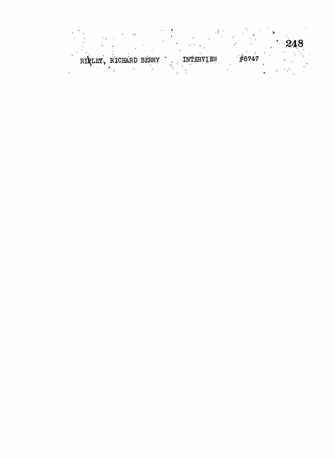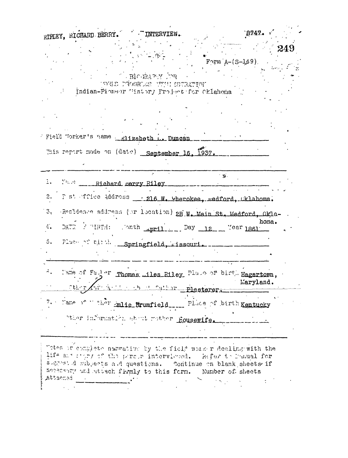|                |                                                              |                                                                                | RIFLEY, RICHARD BERRY. THERVIEW. |                            | 8747.     |      |
|----------------|--------------------------------------------------------------|--------------------------------------------------------------------------------|----------------------------------|----------------------------|-----------|------|
|                |                                                              |                                                                                |                                  | $F\gamma$ rm $A-(S-149)$ . |           | -249 |
|                |                                                              | $\mathbb{R}^n$ , $\mathbf{B}$ רי, $\mathbf{y}$ אל, $\mathbf{y}$ , $\mathbf{B}$ |                                  |                            |           |      |
|                |                                                              | INGE PROGRESS UNCE STRATION<br>Indian-Pioneor Tistory Project for Cklahoma     |                                  |                            |           |      |
|                |                                                              |                                                                                |                                  |                            |           |      |
|                |                                                              |                                                                                |                                  |                            |           |      |
|                | Field Worker's name __ mlizabeth  Duncan                     |                                                                                |                                  |                            |           |      |
|                | This report made on (date) September 16, 1937.               |                                                                                |                                  |                            |           |      |
|                |                                                              |                                                                                |                                  |                            |           |      |
|                | 1. Yard ______ Richard serry Riley                           |                                                                                |                                  | $^{\prime}$ $\mathbf{y}$ . |           |      |
|                | 2. F st ffice Address _: 216 W. Cherokee, medford, Cklahoma. |                                                                                |                                  |                            |           |      |
|                |                                                              |                                                                                |                                  |                            |           |      |
| 3 <sub>1</sub> |                                                              |                                                                                |                                  |                            |           |      |
|                |                                                              | Residence address (or location) 2B. W. Main St. Medford, Okla-                 |                                  |                            | homa.     |      |
| $4.$           | DATE FURTH: Onth April Day 12 Year 1861                      |                                                                                |                                  |                            |           |      |
| 5.             | Flace of the Springfield, sissouri.                          |                                                                                |                                  |                            |           |      |
|                |                                                              |                                                                                |                                  |                            |           |      |
|                | Mame of Fader Thomas miles Riley Plase of birth Hagartown,   |                                                                                |                                  |                            |           |      |
|                | other,                                                       | The charge of the Plasterer.                                                   |                                  |                            | Maryland. |      |
|                | 7. Make of ther mlie Srumfield Place of birth Kentucky       |                                                                                |                                  |                            |           |      |
|                | other information about mother Housewife.                    |                                                                                |                                  |                            |           |      |
|                |                                                              |                                                                                |                                  |                            |           |      |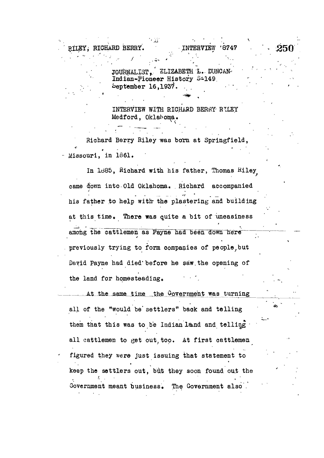RILEY, RICHARD BERRY. INTERVIEW

JOURNALIST, ELIZABETH'L. DUNCAN Indian-Pioneer History 3-149.  $5$ eptember 16,1937.

 $\cdots$  . If  $\cdots$  is a set of  $\cdots$  if  $\cdots$  if  $\cdots$  . If  $\cdots$  if  $\cdots$  if  $\cdots$  if  $\cdots$  if  $\cdots$  . If  $\cdots$  if  $\cdots$  if  $\cdots$  if  $\cdots$  if  $\cdots$  if  $\cdots$  if  $\cdots$  if  $\cdots$  if  $\cdots$  if  $\cdots$  if  $\cdots$  if  $\cdots$  if  $\cdots$  if

INTERVIEW WITH RICHARD BERRY RILEY Medford, Oklahoma.

Richard Berry Riley was born at Springfield, \* Missouri, in 1861.

Missouri, in 1861. In 1885, Richard with his father, Thomas Riley In Id85, Richard with his father, Thomas Hiley came down into Old Oklahoma. Richard accompanied came for old Oklahoma. . Richard accompanied accompanied accompanied accompanied accompanied accompanied accompanied accompanied accompanied accompanied accompanied accompanied accompanied accompanied accompanied accompani his father to help with the plastering and building his father to help with\* the plastering and building at this time. There was quite a bit of uneasiness at this time  $T$  this time  $T$  this time  $T$  time  $T$  of uneasiness  $\mathcal{A}$  bit of uneasiness  $\mathcal{A}$ among the cattlemen as Payne had been down here previously trying to form companies of people, but David Payne had died'before he saw.the opening of the land for homesteading.

At the same time the Covernment was turning all of the "would be' settlers" back and telling them that this was to be Indian land and telling all cattlemen to get out, too. At first cattlemen figured they were just issuing that statement to keep the settlers out, but they soon found out the to be a set of the continuous continuous continuous continuous continuous continuous continuous continuous co Government meant business. The Government also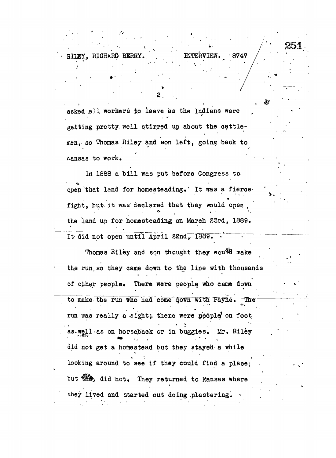RILEY, RICHARD BERRY. INTERVIEW. 8747

251

腔

asked all workers to leave as the Indians were getting pretty well stirred up about the cattlemen, so Thomas Riley and son left, going back to > "<sup>r</sup> , y **ivansas to work. •**

**<sup>2</sup> .**

In 1888 a bill was put before Congress to open that land for homesteading.' It was a fierce fight, but it was declared that they would open the land up for homesteading on March 23rd, 1889.

It did not open until April 22nd, 1889.

Thomas Riley and son thought they would make the run, so they came down to the line with thousands of other people. There were people who came down to make the run who had come down with Payne. run was really a sight; there were people on foot as-well.as on horseback or in buggies. Mr. Riley did not get a homestead but they stayed a while looking around to see if they could find a place; but  $\bigcirc$  of they returned to kansas where they lived and started out doing plastering.

they lived and started out doing .plastering. \*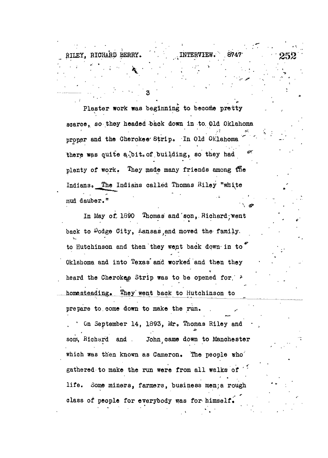Plaster work was beginning to become pretty Plaster work was beginning to become pretty scarce, so they headed back down in to 01d Oklahoma scarce,, so they headed back down in to. Old Oklahoma proper and the Cherokee'Strip« In Old Oklahoma " there was quite a bit, of building, so they had there was quite a..'bit $\mathcal{A} = \{ \mathcal{A} \mid \mathcal{A} \in \mathcal{A} \mid \mathcal{A} \neq \emptyset \}$ plenty of work. They made many friends among the  $p$  is a model many friends and many friends and  $\alpha$  experiments and  $\alpha$  experiments among  $\alpha$ Indians. The Indians called Thomas Riley "white Indians called The Indians called Thomas Riley  $\mathcal{L}$ mud dauber."

 $\cdot$  .  $\cdot$   $\cdot$ 

RILEY, RICHARD BERRY. \ \ .INTERVIEW

 $\bullet$  •  $\bullet$   $\bullet$ 

mud dauber. Die erste der Stadt dauber der Stadt der Stadt der Stadt der Stadt der Stadt der Stadt der Stadt d<br>"Stadt der Stadt der Stadt der Stadt der Stadt der Stadt der Stadt der Stadt der Stadt der Stadt der Stadt der In May of 1890 Thomas and son, Richard went In May of, 1890 Thomas and'son,. Richard-urent back to Dodge City, Aansas and moved the family.  $\mathbf{v}_1$ , Kansas, and Moved the family, Kansas,and moved the family, Kansas,and moved the family,  $\mathbf{v}_2$ to Hutchinson and then they went back down in to" to Hutchinson and then they went back down-in to Oklahoma and into Texas and worked and then they Oklahoma and into Texas\* and worked and then they heard the Cherokes Strip was to be opened for  $\rightarrow$ heard the Cheroker Strip was to be opened for the Cheroker Strip was to be opened for  $\mathcal{S}$ homesteading. They went back to Hutchinson to to Hutchinson to Hutchinson to Hutchinson to Hutchinson to Hutchinson to Hutchinson to Hutchinson to Hutchinson prepare to, come down to make the run.

On September 14, 1893, Mr. Thomas Riley and sons, Richard and . John came down to Manchester which was then known as Cameron. The people who gathered to make the run were from all walks of life. Some miners, farmers, business men;a rough class of people for everybody was for himself.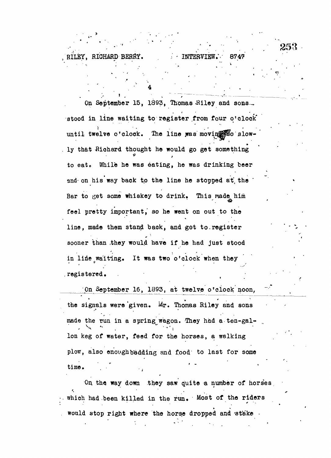On September 15, 1893, Thomas Riley and sons. stood in line waiting to register from four o'clock until twelve o'clock. The line was movin woo slowly that Biohard thought he would go got something to eat. While he was eating, he was drinking beer and on his way back to the line he stopped at the Bar to get some whiskey to drink. This made him feel pretty important,' so he went on out to the line, made them stand back, and got to.register sooner than .they would have if he had just stood in line waiting. It was two o'clock when they registered.

RILEY, RICHARD BERRY. 1NTERVI

^On September 16, 1893, at twelve o'clock noon, the signals were given. Mr. Thomas Riley and sons made the run in a spring wagon. They had a ten-gal-Ion keg of water, feed for the horses, a walking plow, also enough bedding and food' to last for some time.

On, the way down they saw quite a number of horses which had been killed in the run. Most of the riders would stop right where the horse dropped and stake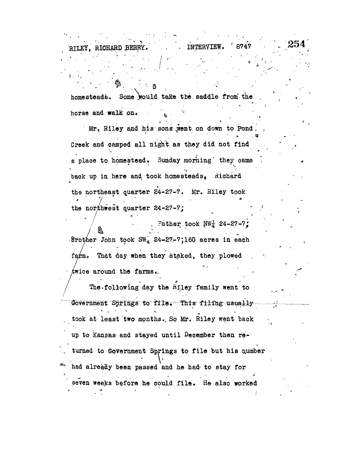homesteads. Some would take the saddle from the horse and walk on.

RILEY, RICHARD &BBBK..'.' • • INTERVIEW, '8747

Mr. Riley and his sons went on down to Pond Creek and camped all night as they did not find a place to homestead. Sunday morning they came back up in here and took homesteads, Richard the northeast quarter 24-27-7. Mr. Riley took the northeast quarter  $\frac{1}{2}$ -7-7. Mr. Riley took and  $\frac{1}{2}$ 

the northwest quarter  $\frac{1}{2}$   $\frac{1}{2}$   $\frac{1}{2}$   $\frac{1}{2}$   $\frac{1}{2}$   $\frac{1}{2}$   $\frac{1}{2}$   $\frac{1}{2}$   $\frac{1}{2}$   $\frac{1}{2}$   $\frac{1}{2}$   $\frac{1}{2}$   $\frac{1}{2}$   $\frac{1}{2}$   $\frac{1}{2}$   $\frac{1}{2}$   $\frac{1}{2}$   $\frac{1}{2}$   $\frac{1}{2}$   $\frac{1}{2}$ Srother John took  $SW_A$  24-27-7;160 acres in each farm. That day when they staked, they plowed  $\mathcal{T}_{\text{max}}$  when they plowed, they plowed, they plowed, they plowed, they plowed, they plowed, they plowed, they plowed, they plowed, they plowed, they plowed, they plowed, they plowed, they plowed, they plowed, they plo

twice around the farms of the farms. The farms  $\mathcal{L}_{\mathcal{A}}$ Government Springs to file. This filing usually  $\label{eq:1} S_{\rm eff}^{\rm eff} = \frac{1}{2} \left( \frac{1}{\sqrt{2}} \left( \frac{1}{\sqrt{2}} \right)^2 + \frac{1}{2} \left( \frac{1}{\sqrt{2}} \right)^2 \right) \left( \frac{1}{\sqrt{2}} \right)^2.$ took at least two months.. So Mr. Riley went back  $u_{\rm B}$ up to Kansas and stayed until December then re- $\sim$ had already been passed and he had to stay for seven weeks before he could file. He also worked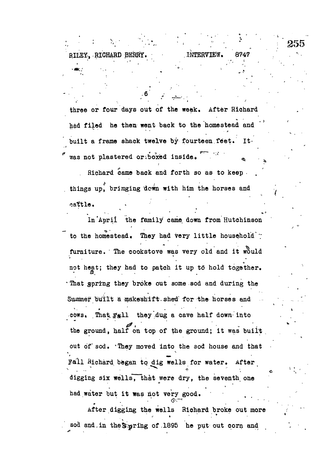three or four days out of the week. After Richard had filed he then went back to the homestead and built a frame shack twelve by fourteen feet. It. was not plastered or boxed inside.

INTERVIEW.

RILEY. RICHARD BERRY.

255

Richard came back and forth so as to keep. things up, bringing down with him the horses and cattle.

In April the family came down from Hutchinson to the homestead. They had very little household : furniture. The cookstove was very old and it would not heat; they had to patch it up to hold together. That gpring they broke out some sod and during the Summer built a makeshift shed for the horses and cows. That Fall they dug a cave half down into the ground, half on top of the ground; it was built out of sod. They moved into the sod house and that Fall Richard began to dig wells for water. After digging six wells, that were dry, the seventh one had water but it was not very good.

After digging the wells Richard broke out more sod and in the Sepring of 1895 he put out corn and